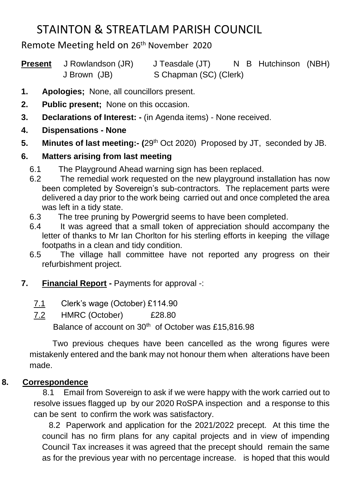## STAINTON & STREATLAM PARISH COUNCIL

Remote Meeting held on 26<sup>th</sup> November 2020

| <b>Present</b> J Rowlandson (JR) | J Teasdale (JT)        |  |  | N B Hutchinson (NBH) |  |
|----------------------------------|------------------------|--|--|----------------------|--|
| J Brown (JB)                     | S Chapman (SC) (Clerk) |  |  |                      |  |

- **1. Apologies;** None, all councillors present.
- **2. Public present;** None on this occasion.
- **3. Declarations of Interest: -** (in Agenda items) None received.
- **4. Dispensations - None**
- **5. Minutes of last meeting:- (**29th Oct 2020) Proposed by JT, seconded by JB.

## **6. Matters arising from last meeting**

- 6.1 The Playground Ahead warning sign has been replaced.
- 6.2 The remedial work requested on the new playground installation has now been completed by Sovereign's sub-contractors. The replacement parts were delivered a day prior to the work being carried out and once completed the area was left in a tidy state.
- 6.3 The tree pruning by Powergrid seems to have been completed.
- 6.4 It was agreed that a small token of appreciation should accompany the letter of thanks to Mr Ian Chorlton for his sterling efforts in keeping the village footpaths in a clean and tidy condition.
- 6.5 The village hall committee have not reported any progress on their refurbishment project.
- **7. Financial Report -** Payments for approval -:
	- 7.1 Clerk's wage (October) £114.90
	- 7.2 HMRC (October) £28.80

Balance of account on 30<sup>th</sup> of October was £15,816.98

 Two previous cheques have been cancelled as the wrong figures were mistakenly entered and the bank may not honour them when alterations have been made.

## **8. Correspondence**

 8.1 Email from Sovereign to ask if we were happy with the work carried out to resolve issues flagged up by our 2020 RoSPA inspection and a response to this can be sent to confirm the work was satisfactory.

 8.2 Paperwork and application for the 2021/2022 precept. At this time the council has no firm plans for any capital projects and in view of impending Council Tax increases it was agreed that the precept should remain the same as for the previous year with no percentage increase. is hoped that this would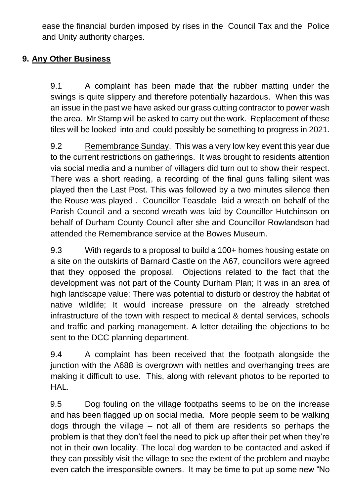ease the financial burden imposed by rises in the Council Tax and the Police and Unity authority charges.

#### **9. Any Other Business**

9.1 A complaint has been made that the rubber matting under the swings is quite slippery and therefore potentially hazardous. When this was an issue in the past we have asked our grass cutting contractor to power wash the area. Mr Stamp will be asked to carry out the work. Replacement of these tiles will be looked into and could possibly be something to progress in 2021.

9.2 Remembrance Sunday. This was a very low key event this year due to the current restrictions on gatherings. It was brought to residents attention via social media and a number of villagers did turn out to show their respect. There was a short reading, a recording of the final guns falling silent was played then the Last Post. This was followed by a two minutes silence then the Rouse was played . Councillor Teasdale laid a wreath on behalf of the Parish Council and a second wreath was laid by Councillor Hutchinson on behalf of Durham County Council after she and Councillor Rowlandson had attended the Remembrance service at the Bowes Museum.

9.3 With regards to a proposal to build a 100+ homes housing estate on a site on the outskirts of Barnard Castle on the A67, councillors were agreed that they opposed the proposal. Objections related to the fact that the development was not part of the County Durham Plan; It was in an area of high landscape value; There was potential to disturb or destroy the habitat of native wildlife; It would increase pressure on the already stretched infrastructure of the town with respect to medical & dental services, schools and traffic and parking management. A letter detailing the objections to be sent to the DCC planning department.

9.4 A complaint has been received that the footpath alongside the junction with the A688 is overgrown with nettles and overhanging trees are making it difficult to use. This, along with relevant photos to be reported to HAL.

9.5 Dog fouling on the village footpaths seems to be on the increase and has been flagged up on social media. More people seem to be walking dogs through the village – not all of them are residents so perhaps the problem is that they don't feel the need to pick up after their pet when they're not in their own locality. The local dog warden to be contacted and asked if they can possibly visit the village to see the extent of the problem and maybe even catch the irresponsible owners. It may be time to put up some new "No